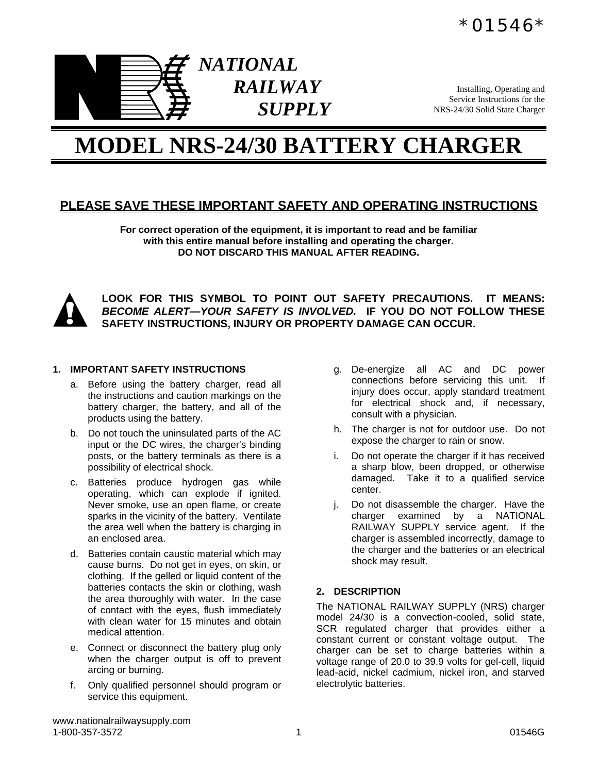



Installing, Operating and Service Instructions for the NRS-24/30 Solid State Charger

# **MODEL NRS-24/30 BATTERY CHARGER**

## **PLEASE SAVE THESE IMPORTANT SAFETY AND OPERATING INSTRUCTIONS**

**For correct operation of the equipment, it is important to read and be familiar with this entire manual before installing and operating the charger. DO NOT DISCARD THIS MANUAL AFTER READING.** 



**LOOK FOR THIS SYMBOL TO POINT OUT SAFETY PRECAUTIONS. IT MEANS:**  *BECOME ALERT—YOUR SAFETY IS INVOLVED.* **IF YOU DO NOT FOLLOW THESE SAFETY INSTRUCTIONS, INJURY OR PROPERTY DAMAGE CAN OCCUR.**

#### **1. IMPORTANT SAFETY INSTRUCTIONS**

- a. Before using the battery charger, read all the instructions and caution markings on the battery charger, the battery, and all of the products using the battery.
- b. Do not touch the uninsulated parts of the AC input or the DC wires, the charger's binding posts, or the battery terminals as there is a possibility of electrical shock.
- c. Batteries produce hydrogen gas while operating, which can explode if ignited. Never smoke, use an open flame, or create sparks in the vicinity of the battery. Ventilate the area well when the battery is charging in an enclosed area.
- d. Batteries contain caustic material which may cause burns. Do not get in eyes, on skin, or clothing. If the gelled or liquid content of the batteries contacts the skin or clothing, wash the area thoroughly with water. In the case of contact with the eyes, flush immediately with clean water for 15 minutes and obtain medical attention.
- e. Connect or disconnect the battery plug only when the charger output is off to prevent arcing or burning.
- f. Only qualified personnel should program or service this equipment.
- g. De-energize all AC and DC power connections before servicing this unit. If injury does occur, apply standard treatment for electrical shock and, if necessary, consult with a physician.
- h. The charger is not for outdoor use. Do not expose the charger to rain or snow.
- i. Do not operate the charger if it has received a sharp blow, been dropped, or otherwise damaged. Take it to a qualified service center.
- j. Do not disassemble the charger. Have the charger examined by a NATIONAL RAILWAY SUPPLY service agent. If the charger is assembled incorrectly, damage to the charger and the batteries or an electrical shock may result.

#### **2. DESCRIPTION**

The NATIONAL RAILWAY SUPPLY (NRS) charger model 24/30 is a convection-cooled, solid state, SCR regulated charger that provides either a constant current or constant voltage output. The charger can be set to charge batteries within a voltage range of 20.0 to 39.9 volts for gel-cell, liquid lead-acid, nickel cadmium, nickel iron, and starved electrolytic batteries.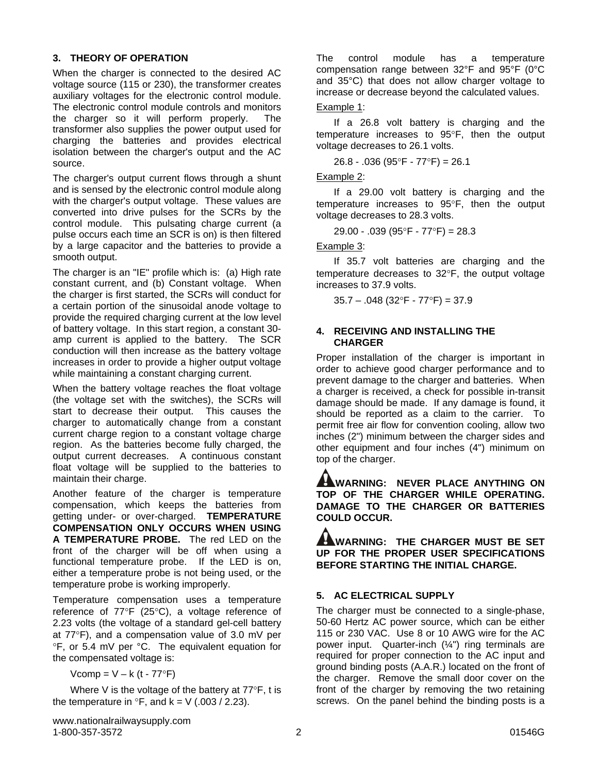#### **3. THEORY OF OPERATION**

When the charger is connected to the desired AC voltage source (115 or 230), the transformer creates auxiliary voltages for the electronic control module. The electronic control module controls and monitors the charger so it will perform properly. The transformer also supplies the power output used for charging the batteries and provides electrical isolation between the charger's output and the AC source.

The charger's output current flows through a shunt and is sensed by the electronic control module along with the charger's output voltage. These values are converted into drive pulses for the SCRs by the control module. This pulsating charge current (a pulse occurs each time an SCR is on) is then filtered by a large capacitor and the batteries to provide a smooth output.

The charger is an "IE" profile which is: (a) High rate constant current, and (b) Constant voltage. When the charger is first started, the SCRs will conduct for a certain portion of the sinusoidal anode voltage to provide the required charging current at the low level of battery voltage. In this start region, a constant 30 amp current is applied to the battery. The SCR conduction will then increase as the battery voltage increases in order to provide a higher output voltage while maintaining a constant charging current.

When the battery voltage reaches the float voltage (the voltage set with the switches), the SCRs will start to decrease their output. This causes the charger to automatically change from a constant current charge region to a constant voltage charge region. As the batteries become fully charged, the output current decreases. A continuous constant float voltage will be supplied to the batteries to maintain their charge.

Another feature of the charger is temperature compensation, which keeps the batteries from getting under- or over-charged. **TEMPERATURE COMPENSATION ONLY OCCURS WHEN USING A TEMPERATURE PROBE.** The red LED on the front of the charger will be off when using a functional temperature probe. If the LED is on, either a temperature probe is not being used, or the temperature probe is working improperly.

Temperature compensation uses a temperature reference of 77°F (25°C), a voltage reference of 2.23 volts (the voltage of a standard gel-cell battery at 77°F), and a compensation value of 3.0 mV per °F, or 5.4 mV per °C. The equivalent equation for the compensated voltage is:

 $Vcomp = V - k (t - 77°F)$ 

 Where V is the voltage of the battery at 77°F, t is the temperature in  ${}^{\circ}$ F, and k = V (.003 / 2.23).

The control module has a temperature compensation range between 32°F and 95°F (0°C and 35°C) that does not allow charger voltage to increase or decrease beyond the calculated values.

#### Example 1:

 If a 26.8 volt battery is charging and the temperature increases to 95°F, then the output voltage decreases to 26.1 volts.

26.8 - .036 (95°F - 77°F) = 26.1

#### Example 2:

 If a 29.00 volt battery is charging and the temperature increases to 95°F, then the output voltage decreases to 28.3 volts.

29.00 - .039 (95°F - 77°F) = 28.3

Example 3:

 If 35.7 volt batteries are charging and the temperature decreases to 32°F, the output voltage increases to 37.9 volts.

 $35.7 - 0.048$  ( $32^{\circ}$ F -  $77^{\circ}$ F) = 37.9

#### **4. RECEIVING AND INSTALLING THE CHARGER**

Proper installation of the charger is important in order to achieve good charger performance and to prevent damage to the charger and batteries. When a charger is received, a check for possible in-transit damage should be made. If any damage is found, it should be reported as a claim to the carrier. To permit free air flow for convention cooling, allow two inches (2") minimum between the charger sides and other equipment and four inches (4") minimum on top of the charger.

**WARNING: NEVER PLACE ANYTHING ON TOP OF THE CHARGER WHILE OPERATING. DAMAGE TO THE CHARGER OR BATTERIES COULD OCCUR.** 

**WARNING: THE CHARGER MUST BE SET UP FOR THE PROPER USER SPECIFICATIONS BEFORE STARTING THE INITIAL CHARGE.** 

## **5. AC ELECTRICAL SUPPLY**

The charger must be connected to a single-phase, 50-60 Hertz AC power source, which can be either 115 or 230 VAC. Use 8 or 10 AWG wire for the AC power input. Quarter-inch (¼") ring terminals are required for proper connection to the AC input and ground binding posts (A.A.R.) located on the front of the charger. Remove the small door cover on the front of the charger by removing the two retaining screws. On the panel behind the binding posts is a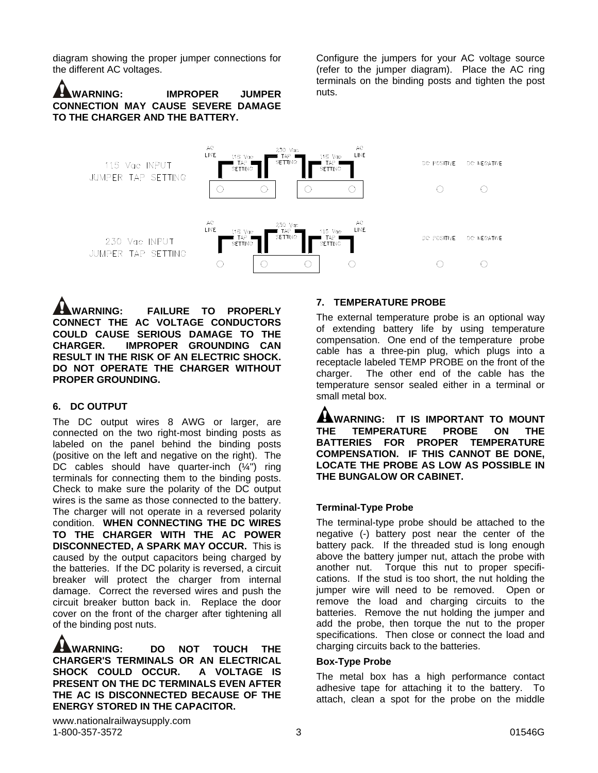diagram showing the proper jumper connections for the different AC voltages.

**WARNING: IMPROPER JUMPER CONNECTION MAY CAUSE SEVERE DAMAGE TO THE CHARGER AND THE BATTERY.**

Configure the jumpers for your AC voltage source (refer to the jumper diagram). Place the AC ring terminals on the binding posts and tighten the post nuts.



**WARNING: FAILURE TO PROPERLY CONNECT THE AC VOLTAGE CONDUCTORS COULD CAUSE SERIOUS DAMAGE TO THE CHARGER. IMPROPER GROUNDING CAN RESULT IN THE RISK OF AN ELECTRIC SHOCK. DO NOT OPERATE THE CHARGER WITHOUT PROPER GROUNDING.**

#### **6. DC OUTPUT**

The DC output wires 8 AWG or larger, are connected on the two right-most binding posts as labeled on the panel behind the binding posts (positive on the left and negative on the right). The DC cables should have quarter-inch  $(\frac{1}{4})$  ring terminals for connecting them to the binding posts. Check to make sure the polarity of the DC output wires is the same as those connected to the battery. The charger will not operate in a reversed polarity condition. **WHEN CONNECTING THE DC WIRES TO THE CHARGER WITH THE AC POWER DISCONNECTED, A SPARK MAY OCCUR.** This is caused by the output capacitors being charged by the batteries. If the DC polarity is reversed, a circuit breaker will protect the charger from internal damage. Correct the reversed wires and push the circuit breaker button back in. Replace the door cover on the front of the charger after tightening all of the binding post nuts.

**WARNING: DO NOT TOUCH THE CHARGER'S TERMINALS OR AN ELECTRICAL SHOCK COULD OCCUR. A VOLTAGE IS PRESENT ON THE DC TERMINALS EVEN AFTER THE AC IS DISCONNECTED BECAUSE OF THE ENERGY STORED IN THE CAPACITOR.** 

#### **7. TEMPERATURE PROBE**

The external temperature probe is an optional way of extending battery life by using temperature compensation. One end of the temperature probe cable has a three-pin plug, which plugs into a receptacle labeled TEMP PROBE on the front of the charger. The other end of the cable has the temperature sensor sealed either in a terminal or small metal box.

**AWARNING:** IT IS IMPORTANT TO MOUNT **THE TEMPERATURE PROBE ON THE BATTERIES FOR PROPER TEMPERATURE COMPENSATION. IF THIS CANNOT BE DONE, LOCATE THE PROBE AS LOW AS POSSIBLE IN THE BUNGALOW OR CABINET.** 

#### **Terminal-Type Probe**

The terminal-type probe should be attached to the negative (-) battery post near the center of the battery pack. If the threaded stud is long enough above the battery jumper nut, attach the probe with another nut. Torque this nut to proper specifications. If the stud is too short, the nut holding the jumper wire will need to be removed. Open or remove the load and charging circuits to the batteries. Remove the nut holding the jumper and add the probe, then torque the nut to the proper specifications. Then close or connect the load and charging circuits back to the batteries.

#### **Box-Type Probe**

The metal box has a high performance contact adhesive tape for attaching it to the battery. To attach, clean a spot for the probe on the middle

www.nationalrailwaysupply.com 1-800-357-3572 3 01546G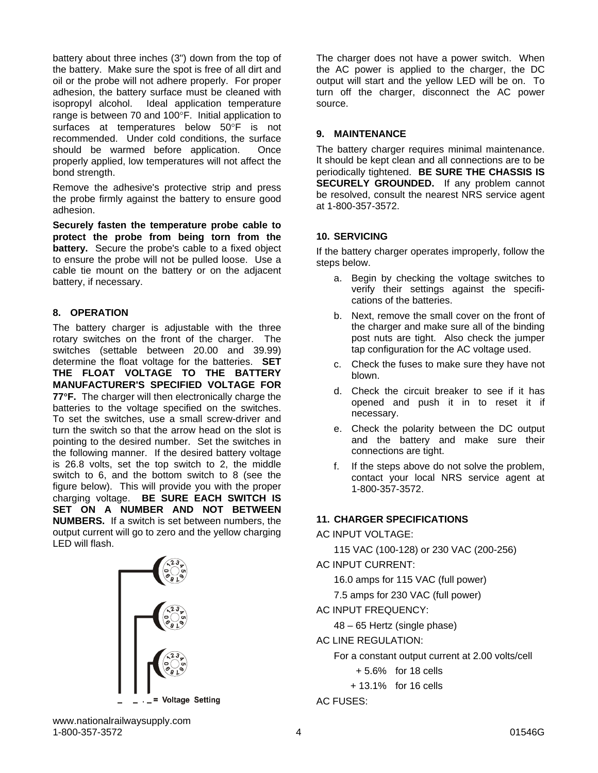battery about three inches (3") down from the top of the battery. Make sure the spot is free of all dirt and oil or the probe will not adhere properly. For proper adhesion, the battery surface must be cleaned with isopropyl alcohol. Ideal application temperature range is between 70 and 100°F. Initial application to surfaces at temperatures below 50°F is not recommended. Under cold conditions, the surface should be warmed before application. Once properly applied, low temperatures will not affect the bond strength.

Remove the adhesive's protective strip and press the probe firmly against the battery to ensure good adhesion.

**Securely fasten the temperature probe cable to protect the probe from being torn from the battery.** Secure the probe's cable to a fixed object to ensure the probe will not be pulled loose. Use a cable tie mount on the battery or on the adjacent battery, if necessary.

## **8. OPERATION**

The battery charger is adjustable with the three rotary switches on the front of the charger. The switches (settable between 20.00 and 39.99) determine the float voltage for the batteries. **SET THE FLOAT VOLTAGE TO THE BATTERY MANUFACTURER'S SPECIFIED VOLTAGE FOR 77**°**F.** The charger will then electronically charge the batteries to the voltage specified on the switches. To set the switches, use a small screw-driver and turn the switch so that the arrow head on the slot is pointing to the desired number. Set the switches in the following manner. If the desired battery voltage is 26.8 volts, set the top switch to 2, the middle switch to 6, and the bottom switch to 8 (see the figure below). This will provide you with the proper charging voltage. **BE SURE EACH SWITCH IS SET ON A NUMBER AND NOT BETWEEN NUMBERS.** If a switch is set between numbers, the output current will go to zero and the yellow charging LED will flash.



The charger does not have a power switch. When the AC power is applied to the charger, the DC output will start and the yellow LED will be on. To turn off the charger, disconnect the AC power source.

## **9. MAINTENANCE**

The battery charger requires minimal maintenance. It should be kept clean and all connections are to be periodically tightened. **BE SURE THE CHASSIS IS SECURELY GROUNDED.** If any problem cannot be resolved, consult the nearest NRS service agent at 1-800-357-3572.

## **10. SERVICING**

If the battery charger operates improperly, follow the steps below.

- a. Begin by checking the voltage switches to verify their settings against the specifications of the batteries.
- b. Next, remove the small cover on the front of the charger and make sure all of the binding post nuts are tight. Also check the jumper tap configuration for the AC voltage used.
- c. Check the fuses to make sure they have not blown.
- d. Check the circuit breaker to see if it has opened and push it in to reset it if necessary.
- e. Check the polarity between the DC output and the battery and make sure their connections are tight.
- f. If the steps above do not solve the problem, contact your local NRS service agent at 1-800-357-3572.

## **11. CHARGER SPECIFICATIONS**

#### AC INPUT VOLTAGE:

115 VAC (100-128) or 230 VAC (200-256)

AC INPUT CURRENT:

16.0 amps for 115 VAC (full power)

7.5 amps for 230 VAC (full power)

AC INPUT FREQUENCY:

48 – 65 Hertz (single phase)

AC LINE REGULATION:

For a constant output current at 2.00 volts/cell

+ 5.6% for 18 cells

+ 13.1% for 16 cells

AC FUSES: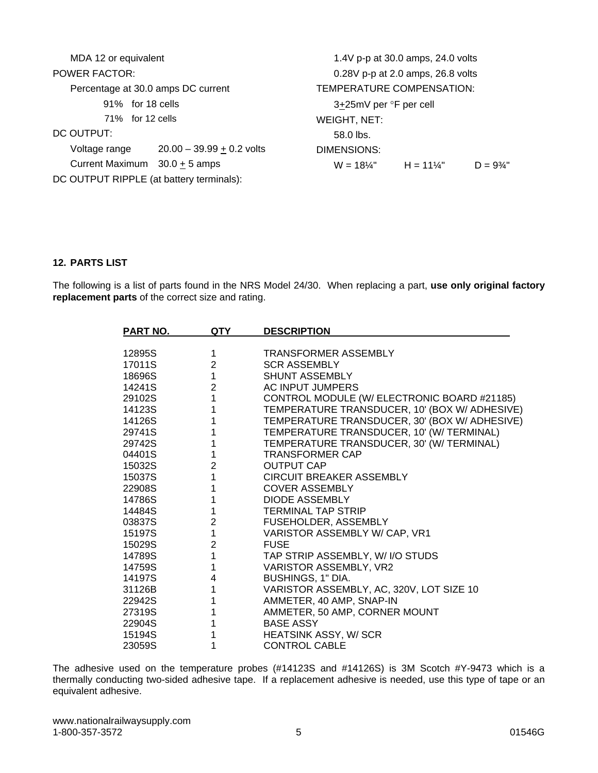| MDA 12 or equivalent                     |                             | 1.4V p-p at 30.0 amps, 24.0 volts |                     |                      |
|------------------------------------------|-----------------------------|-----------------------------------|---------------------|----------------------|
| <b>POWER FACTOR:</b>                     |                             | 0.28V p-p at 2.0 amps, 26.8 volts |                     |                      |
| Percentage at 30.0 amps DC current       |                             | TEMPERATURE COMPENSATION:         |                     |                      |
| for 18 cells<br>91%                      |                             | 3+25mV per °F per cell            |                     |                      |
| 71% for 12 cells                         |                             | WEIGHT, NET:                      |                     |                      |
| DC OUTPUT:                               |                             | 58.0 lbs.                         |                     |                      |
| Voltage range                            | $20.00 - 39.99 + 0.2$ volts | DIMENSIONS:                       |                     |                      |
| Current Maximum 30.0 + 5 amps            |                             | $W = 18\%$ "                      | $H = 11\frac{1}{4}$ | $D = 9\frac{3}{4}$ " |
| DC OUTPUT RIPPLE (at battery terminals): |                             |                                   |                     |                      |

## **12. PARTS LIST**

The following is a list of parts found in the NRS Model 24/30. When replacing a part, **use only original factory replacement parts** of the correct size and rating.

| PART NO. | QTY            | <b>DESCRIPTION</b>                            |
|----------|----------------|-----------------------------------------------|
|          |                |                                               |
| 12895S   | 1              | <b>TRANSFORMER ASSEMBLY</b>                   |
| 17011S   | $\overline{2}$ | <b>SCR ASSEMBLY</b>                           |
| 18696S   | $\mathbf{1}$   | <b>SHUNT ASSEMBLY</b>                         |
| 14241S   | $\overline{2}$ | AC INPUT JUMPERS                              |
| 29102S   | $\overline{1}$ | CONTROL MODULE (W/ ELECTRONIC BOARD #21185)   |
| 14123S   | 1              | TEMPERATURE TRANSDUCER, 10' (BOX W/ ADHESIVE) |
| 14126S   | 1              | TEMPERATURE TRANSDUCER, 30' (BOX W/ ADHESIVE) |
| 29741S   | 1              | TEMPERATURE TRANSDUCER, 10' (W/ TERMINAL)     |
| 29742S   | 1              | TEMPERATURE TRANSDUCER, 30' (W/ TERMINAL)     |
| 04401S   | 1              | <b>TRANSFORMER CAP</b>                        |
| 15032S   | $\overline{2}$ | <b>OUTPUT CAP</b>                             |
| 15037S   | $\mathbf{1}$   | <b>CIRCUIT BREAKER ASSEMBLY</b>               |
| 22908S   | 1              | <b>COVER ASSEMBLY</b>                         |
| 14786S   | 1              | <b>DIODE ASSEMBLY</b>                         |
| 14484S   | 1              | <b>TERMINAL TAP STRIP</b>                     |
| 03837S   | $\overline{2}$ | FUSEHOLDER, ASSEMBLY                          |
| 15197S   | $\mathbf{1}$   | VARISTOR ASSEMBLY W/ CAP, VR1                 |
| 15029S   | $\overline{2}$ | <b>FUSE</b>                                   |
| 14789S   | $\overline{1}$ | TAP STRIP ASSEMBLY, W/ I/O STUDS              |
| 14759S   | $\mathbf 1$    | VARISTOR ASSEMBLY, VR2                        |
| 14197S   | 4              | BUSHINGS, 1" DIA.                             |
| 31126B   | $\mathbf 1$    | VARISTOR ASSEMBLY, AC, 320V, LOT SIZE 10      |
| 22942S   | 1              | AMMETER, 40 AMP, SNAP-IN                      |
| 27319S   | 1              | AMMETER, 50 AMP, CORNER MOUNT                 |
| 22904S   |                | <b>BASE ASSY</b>                              |
| 15194S   | 1              | <b>HEATSINK ASSY, W/SCR</b>                   |
| 23059S   | 1              | <b>CONTROL CABLE</b>                          |

The adhesive used on the temperature probes (#14123S and #14126S) is 3M Scotch #Y-9473 which is a thermally conducting two-sided adhesive tape. If a replacement adhesive is needed, use this type of tape or an equivalent adhesive.